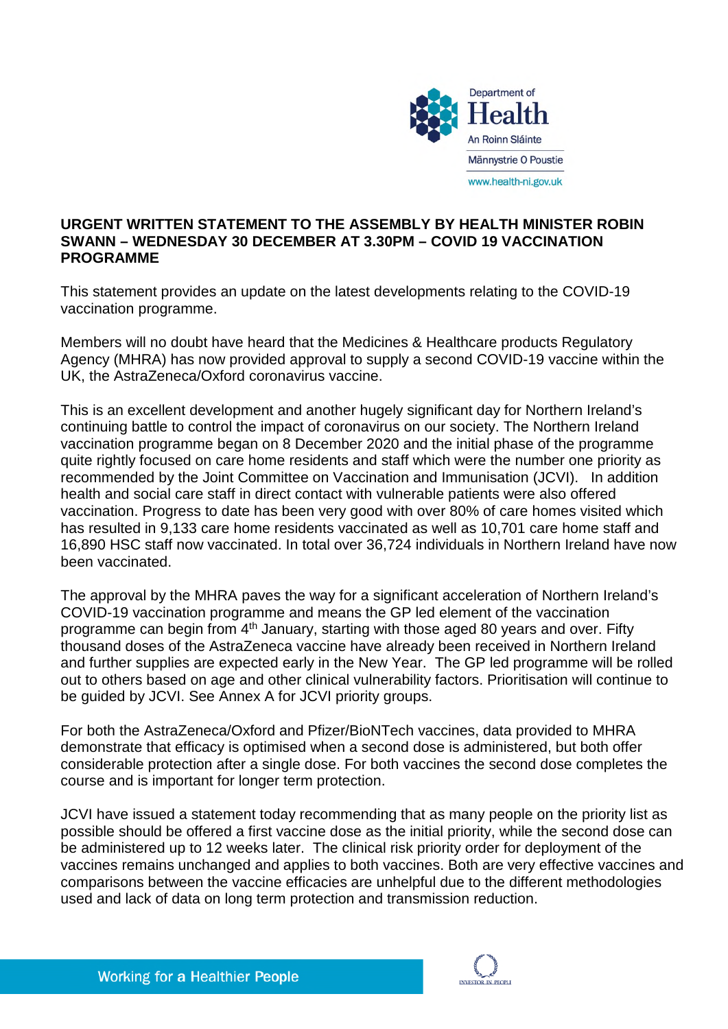

## **URGENT WRITTEN STATEMENT TO THE ASSEMBLY BY HEALTH MINISTER ROBIN SWANN – WEDNESDAY 30 DECEMBER AT 3.30PM – COVID 19 VACCINATION PROGRAMME**

This statement provides an update on the latest developments relating to the COVID-19 vaccination programme.

Members will no doubt have heard that the Medicines & Healthcare products Regulatory Agency (MHRA) has now provided approval to supply a second COVID-19 vaccine within the UK, the AstraZeneca/Oxford coronavirus vaccine.

This is an excellent development and another hugely significant day for Northern Ireland's continuing battle to control the impact of coronavirus on our society. The Northern Ireland vaccination programme began on 8 December 2020 and the initial phase of the programme quite rightly focused on care home residents and staff which were the number one priority as recommended by the Joint Committee on Vaccination and Immunisation (JCVI). In addition health and social care staff in direct contact with vulnerable patients were also offered vaccination. Progress to date has been very good with over 80% of care homes visited which has resulted in 9,133 care home residents vaccinated as well as 10,701 care home staff and 16,890 HSC staff now vaccinated. In total over 36,724 individuals in Northern Ireland have now been vaccinated.

The approval by the MHRA paves the way for a significant acceleration of Northern Ireland's COVID-19 vaccination programme and means the GP led element of the vaccination programme can begin from 4th January, starting with those aged 80 years and over. Fifty thousand doses of the AstraZeneca vaccine have already been received in Northern Ireland and further supplies are expected early in the New Year. The GP led programme will be rolled out to others based on age and other clinical vulnerability factors. Prioritisation will continue to be guided by JCVI. See Annex A for JCVI priority groups.

For both the AstraZeneca/Oxford and Pfizer/BioNTech vaccines, data provided to MHRA demonstrate that efficacy is optimised when a second dose is administered, but both offer considerable protection after a single dose. For both vaccines the second dose completes the course and is important for longer term protection.

JCVI have issued a statement today recommending that as many people on the priority list as possible should be offered a first vaccine dose as the initial priority, while the second dose can be administered up to 12 weeks later. The clinical risk priority order for deployment of the vaccines remains unchanged and applies to both vaccines. Both are very effective vaccines and comparisons between the vaccine efficacies are unhelpful due to the different methodologies used and lack of data on long term protection and transmission reduction.

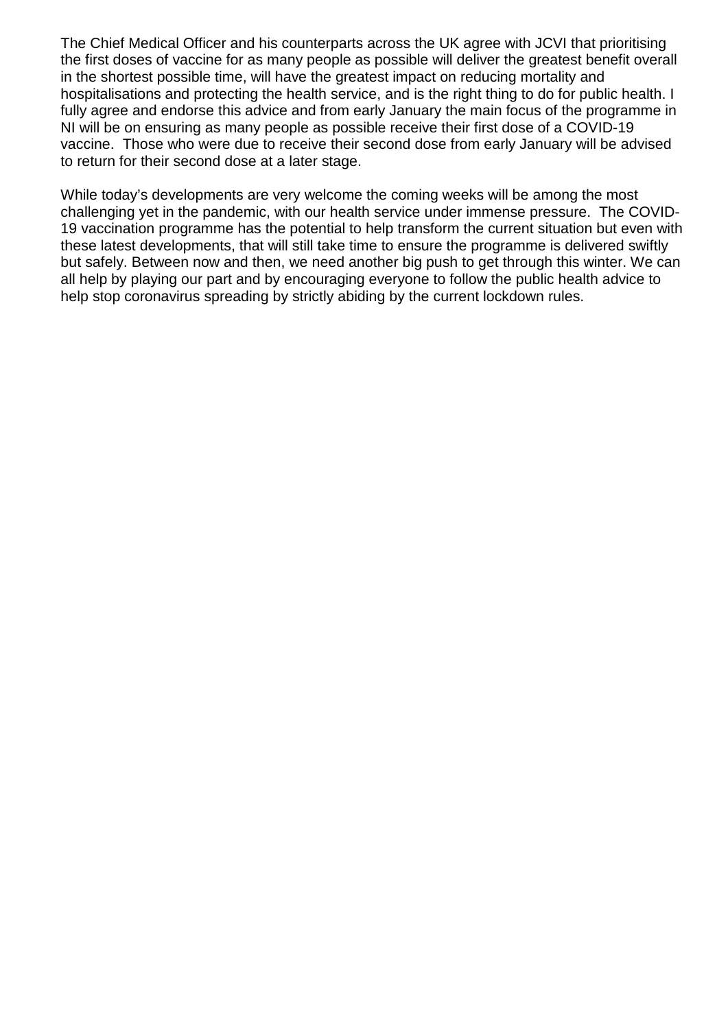The Chief Medical Officer and his counterparts across the UK agree with JCVI that prioritising the first doses of vaccine for as many people as possible will deliver the greatest benefit overall in the shortest possible time, will have the greatest impact on reducing mortality and hospitalisations and protecting the health service, and is the right thing to do for public health. I fully agree and endorse this advice and from early January the main focus of the programme in NI will be on ensuring as many people as possible receive their first dose of a COVID-19 vaccine. Those who were due to receive their second dose from early January will be advised to return for their second dose at a later stage.

While today's developments are very welcome the coming weeks will be among the most challenging yet in the pandemic, with our health service under immense pressure. The COVID-19 vaccination programme has the potential to help transform the current situation but even with these latest developments, that will still take time to ensure the programme is delivered swiftly but safely. Between now and then, we need another big push to get through this winter. We can all help by playing our part and by encouraging everyone to follow the public health advice to help stop coronavirus spreading by strictly abiding by the current lockdown rules.